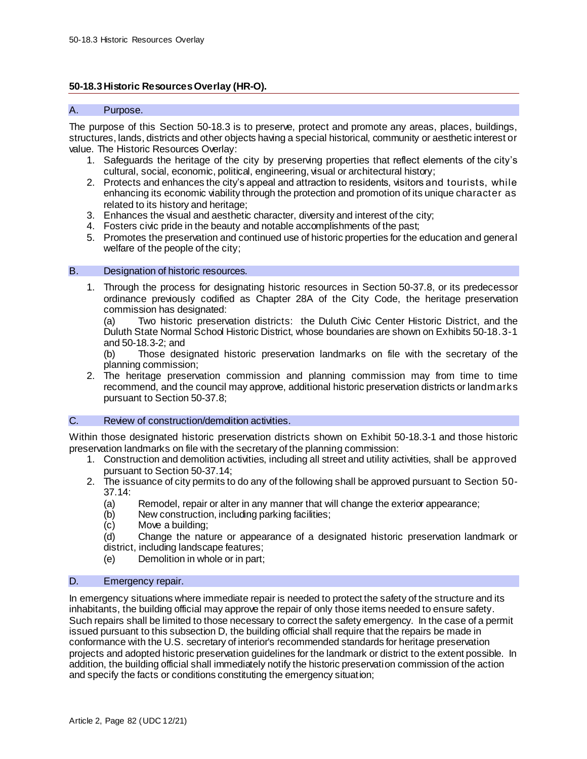## **50-18.3Historic Resources Overlay (HR-O).**

## A. Purpose.

The purpose of this Section 50-18.3 is to preserve, protect and promote any areas, places, buildings, structures, lands, districts and other objects having a special historical, community or aesthetic interest or value. The Historic Resources Overlay:

- 1. Safeguards the heritage of the city by preserving properties that reflect elements of the city's cultural, social, economic, political, engineering, visual or architectural history;
- 2. Protects and enhances the city's appeal and attraction to residents, visitors and tourists, while enhancing its economic viability through the protection and promotion of its unique character as related to its history and heritage;
- 3. Enhances the visual and aesthetic character, diversity and interest of the city;
- 4. Fosters civic pride in the beauty and notable accomplishments of the past;
- 5. Promotes the preservation and continued use of historic properties for the education and general welfare of the people of the city;

### B. Designation of historic resources.

1. Through the process for designating historic resources in Section 50-37.8, or its predecessor ordinance previously codified as Chapter 28A of the City Code, the heritage preservation commission has designated:

(a) Two historic preservation districts: the Duluth Civic Center Historic District, and the Duluth State Normal School Historic District, whose boundaries are shown on Exhibits 50-18.3-1 and 50-18.3-2; and

(b) Those designated historic preservation landmarks on file with the secretary of the planning commission;

2. The heritage preservation commission and planning commission may from time to time recommend, and the council may approve, additional historic preservation districts or landmarks pursuant to Section 50-37.8;

### C. Review of construction/demolition activities.

Within those designated historic preservation districts shown on Exhibit 50-18.3-1 and those historic preservation landmarks on file with the secretary of the planning commission:

- 1. Construction and demolition activities, including all street and utility activities, shall be approved pursuant to Section 50-37.14;
- 2. The issuance of city permits to do any of the following shall be approved pursuant to Section 50- 37.14:
	- (a) Remodel, repair or alter in any manner that will change the exterior appearance;
	- (b) New construction, including parking facilities;
	- (c) Move a building;
	- (d) Change the nature or appearance of a designated historic preservation landmark or district, including landscape features;
	- (e) Demolition in whole or in part;

## D. Emergency repair.

In emergency situations where immediate repair is needed to protect the safety of the structure and its inhabitants, the building official may approve the repair of only those items needed to ensure safety. Such repairs shall be limited to those necessary to correct the safety emergency. In the case of a permit issued pursuant to this subsection D, the building official shall require that the repairs be made in conformance with the U.S. secretary of interior's recommended standards for heritage preservation projects and adopted historic preservation guidelines for the landmark or district to the extent possible. In addition, the building official shall immediately notify the historic preservation commission of the action and specify the facts or conditions constituting the emergency situation;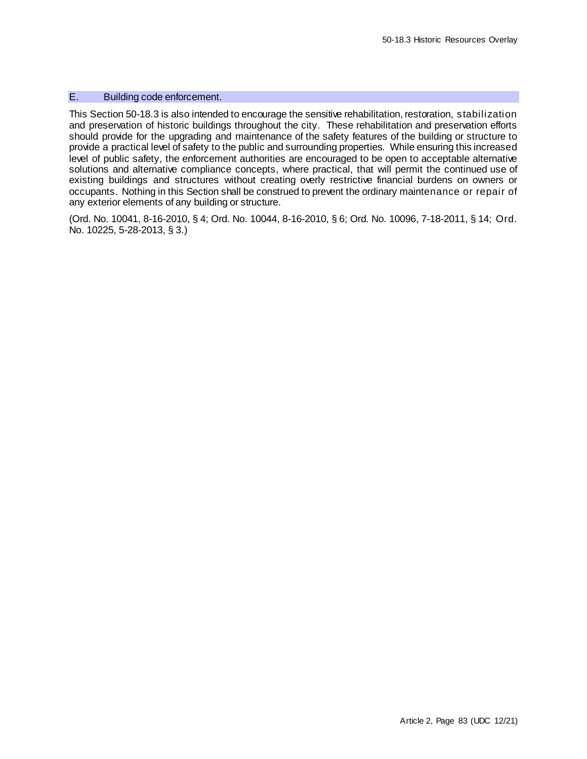# E. Building code enforcement.

This Section 50-18.3 is also intended to encourage the sensitive rehabilitation, restoration, stabilization and preservation of historic buildings throughout the city. These rehabilitation and preservation efforts should provide for the upgrading and maintenance of the safety features of the building or structure to provide a practical level of safety to the public and surrounding properties. While ensuring this increased level of public safety, the enforcement authorities are encouraged to be open to acceptable alternative solutions and alternative compliance concepts, where practical, that will permit the continued use of existing buildings and structures without creating overly restrictive financial burdens on owners or occupants. Nothing in this Section shall be construed to prevent the ordinary maintenance or repair of any exterior elements of any building or structure.

(Ord. No. 10041, 8-16-2010, § 4; Ord. No. 10044, 8-16-2010, § 6; Ord. No. 10096, 7-18-2011, § 14; Ord. No. 10225, 5-28-2013, § 3.)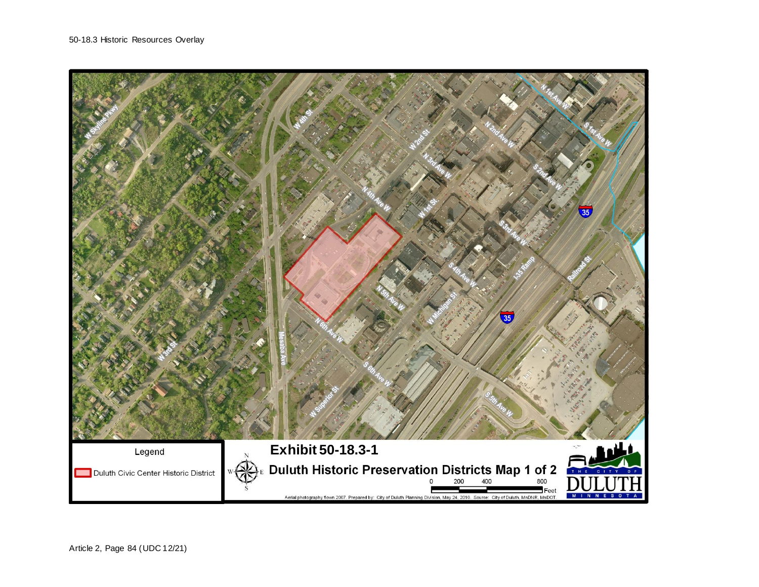